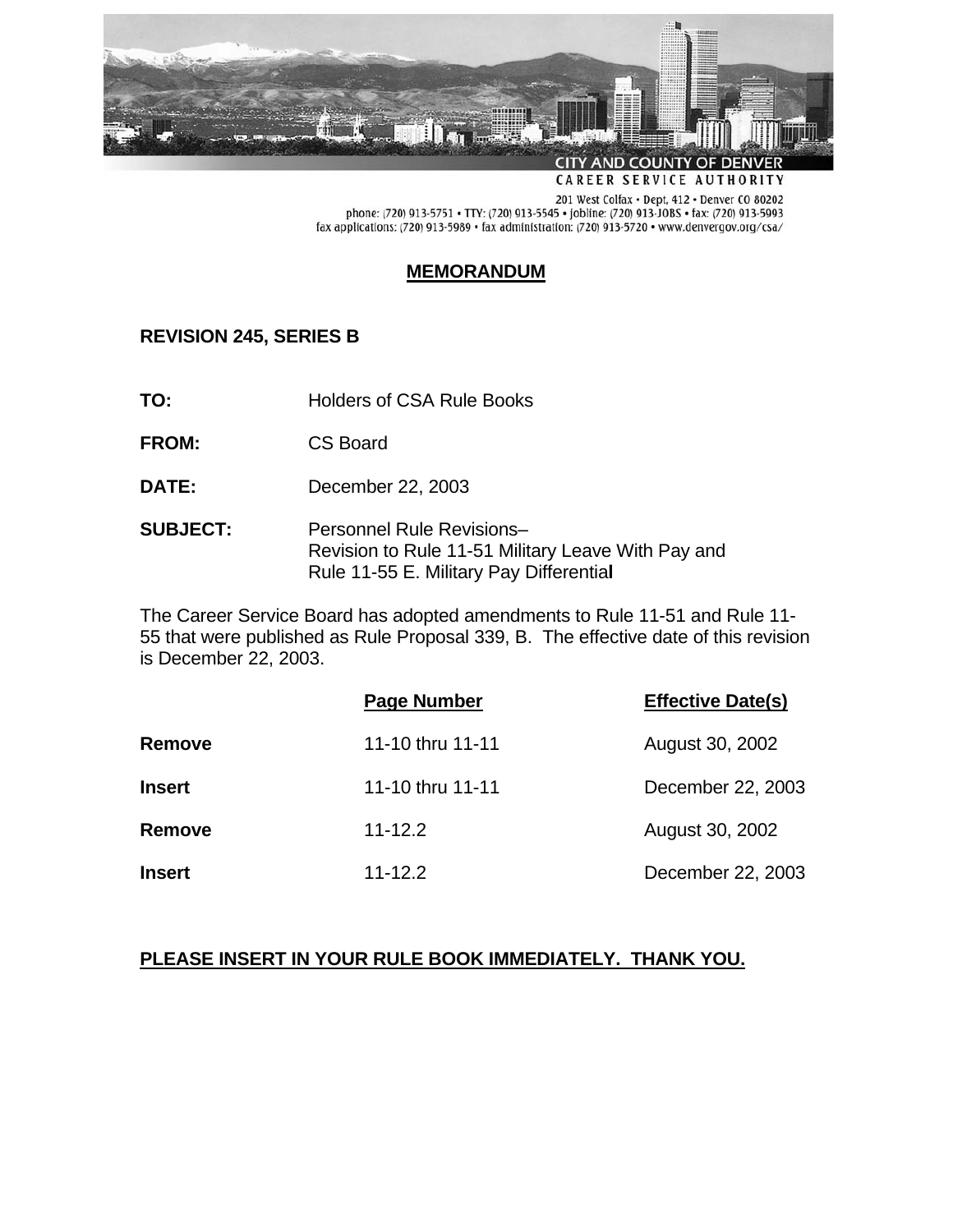

**CAREER SERVICE AUTHORITY** 

201 West Colfax . Dept, 412 . Denver CO 80202 phone: (720) 913-5751 • TTY: (720) 913-5545 • jobline: (720) 913-JOBS • fax: (720) 913-5993 fax applications: (720) 913-5989 • fax administration: (720) 913-5720 • www.denvergov.org/csa/

## **MEMORANDUM**

# **REVISION 245, SERIES B**

- **TO:** Holders of CSA Rule Books
- **FROM:** CS Board
- **DATE:** December 22, 2003
- **SUBJECT:** Personnel Rule Revisions– Revision to Rule 11-51 Military Leave With Pay and Rule 11-55 E. Military Pay Differentia**l**

The Career Service Board has adopted amendments to Rule 11-51 and Rule 11- 55 that were published as Rule Proposal 339, B. The effective date of this revision is December 22, 2003.

|               | <b>Page Number</b> | <b>Effective Date(s)</b> |
|---------------|--------------------|--------------------------|
| <b>Remove</b> | 11-10 thru 11-11   | August 30, 2002          |
| <b>Insert</b> | 11-10 thru 11-11   | December 22, 2003        |
| Remove        | $11 - 12.2$        | August 30, 2002          |
| <b>Insert</b> | $11 - 12.2$        | December 22, 2003        |

# **PLEASE INSERT IN YOUR RULE BOOK IMMEDIATELY. THANK YOU.**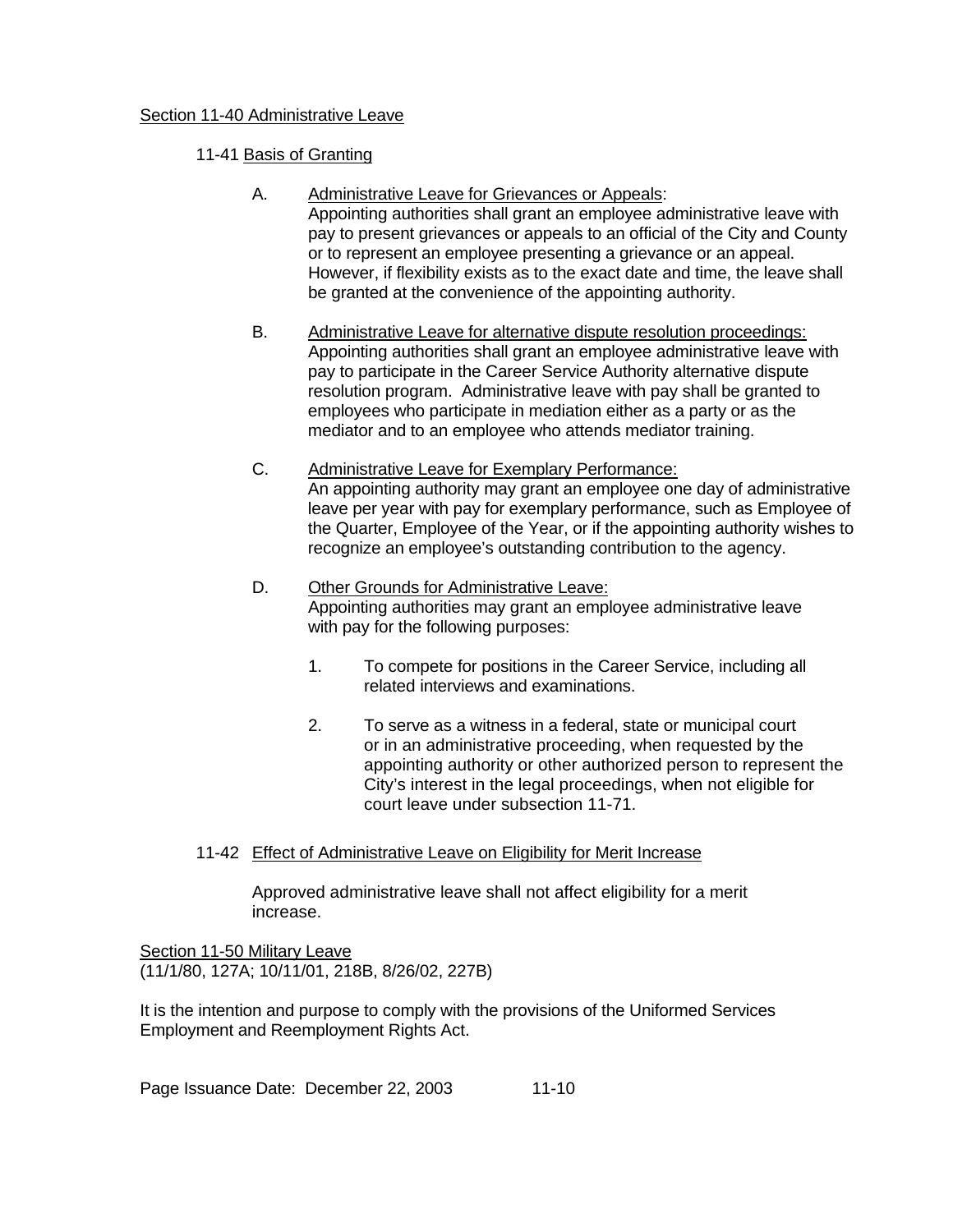### Section 11-40 Administrative Leave

- 11-41 Basis of Granting
	- A. Administrative Leave for Grievances or Appeals: Appointing authorities shall grant an employee administrative leave with pay to present grievances or appeals to an official of the City and County or to represent an employee presenting a grievance or an appeal. However, if flexibility exists as to the exact date and time, the leave shall be granted at the convenience of the appointing authority.
	- B. Administrative Leave for alternative dispute resolution proceedings: Appointing authorities shall grant an employee administrative leave with pay to participate in the Career Service Authority alternative dispute resolution program. Administrative leave with pay shall be granted to employees who participate in mediation either as a party or as the mediator and to an employee who attends mediator training.
	- C. Administrative Leave for Exemplary Performance: An appointing authority may grant an employee one day of administrative leave per year with pay for exemplary performance, such as Employee of the Quarter, Employee of the Year, or if the appointing authority wishes to recognize an employee's outstanding contribution to the agency.
	- D. Other Grounds for Administrative Leave: Appointing authorities may grant an employee administrative leave with pay for the following purposes:
		- 1. To compete for positions in the Career Service, including all related interviews and examinations.
		- 2. To serve as a witness in a federal, state or municipal court or in an administrative proceeding, when requested by the appointing authority or other authorized person to represent the City's interest in the legal proceedings, when not eligible for court leave under subsection 11-71.
- 11-42 Effect of Administrative Leave on Eligibility for Merit Increase

 Approved administrative leave shall not affect eligibility for a merit increase.

Section 11-50 Military Leave (11/1/80, 127A; 10/11/01, 218B, 8/26/02, 227B)

It is the intention and purpose to comply with the provisions of the Uniformed Services Employment and Reemployment Rights Act.

Page Issuance Date: December 22, 2003 11-10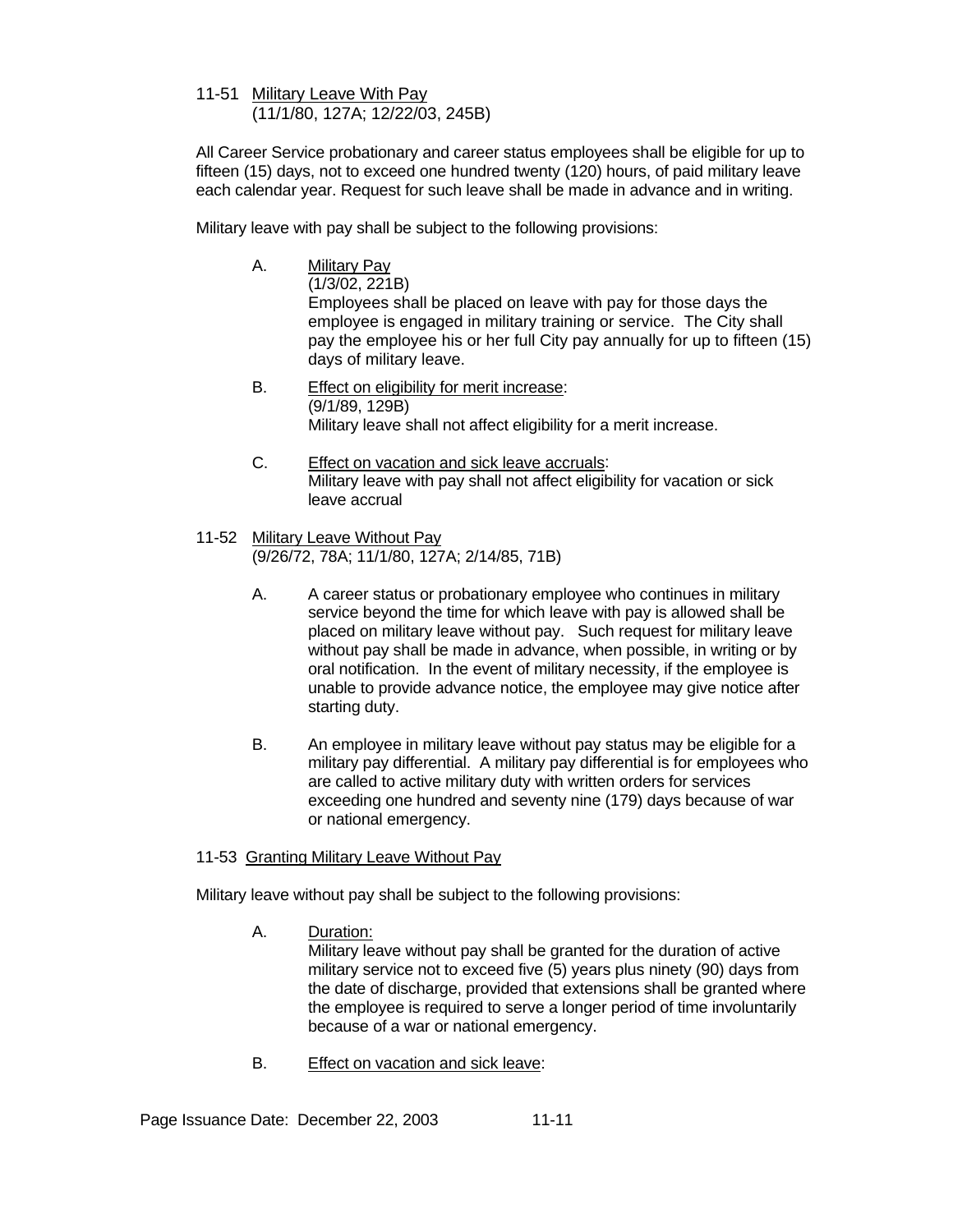#### 11-51 Military Leave With Pay (11/1/80, 127A; 12/22/03, 245B)

All Career Service probationary and career status employees shall be eligible for up to fifteen (15) days, not to exceed one hundred twenty (120) hours, of paid military leave each calendar year. Request for such leave shall be made in advance and in writing.

Military leave with pay shall be subject to the following provisions:

A. Military Pay

 (1/3/02, 221B) Employees shall be placed on leave with pay for those days the employee is engaged in military training or service. The City shall pay the employee his or her full City pay annually for up to fifteen (15) days of military leave.

- B. Effect on eligibility for merit increase: (9/1/89, 129B) Military leave shall not affect eligibility for a merit increase.
- C. Effect on vacation and sick leave accruals: Military leave with pay shall not affect eligibility for vacation or sick leave accrual
- 11-52 Military Leave Without Pay (9/26/72, 78A; 11/1/80, 127A; 2/14/85, 71B)
	- A. A career status or probationary employee who continues in military service beyond the time for which leave with pay is allowed shall be placed on military leave without pay. Such request for military leave without pay shall be made in advance, when possible, in writing or by oral notification. In the event of military necessity, if the employee is unable to provide advance notice, the employee may give notice after starting duty.
	- B. An employee in military leave without pay status may be eligible for a military pay differential. A military pay differential is for employees who are called to active military duty with written orders for services exceeding one hundred and seventy nine (179) days because of war or national emergency.

## 11-53 Granting Military Leave Without Pay

Military leave without pay shall be subject to the following provisions:

A. Duration:

 Military leave without pay shall be granted for the duration of active military service not to exceed five (5) years plus ninety (90) days from the date of discharge, provided that extensions shall be granted where the employee is required to serve a longer period of time involuntarily because of a war or national emergency.

B. Effect on vacation and sick leave:

Page Issuance Date: December 22, 2003 11-11